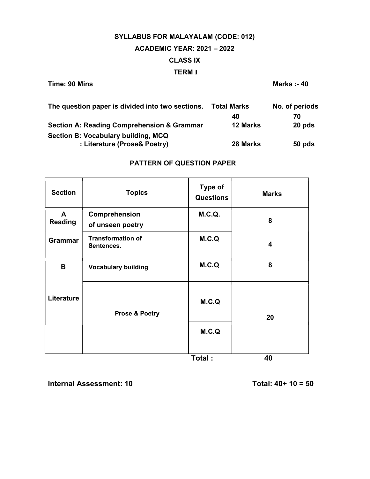# SYLLABUS FOR MALAYALAM (CODE: 012) ACADEMIC YEAR: 2021 – 2022 CLASS IX TERM I

Time: 90 Mins **Marks** :- 40

| The question paper is divided into two sections.      | <b>Total Marks</b> | No. of periods |
|-------------------------------------------------------|--------------------|----------------|
|                                                       | 40                 | 70             |
| <b>Section A: Reading Comprehension &amp; Grammar</b> | <b>12 Marks</b>    | 20 pds         |
| Section B: Vocabulary building, MCQ                   |                    |                |
| : Literature (Prose& Poetry)                          | 28 Marks           | 50 pds         |

# PATTERN OF QUESTION PAPER

| <b>Section</b>                 | <b>Topics</b>                          | Type of<br><b>Questions</b> | <b>Marks</b>            |
|--------------------------------|----------------------------------------|-----------------------------|-------------------------|
| $\mathsf{A}$<br><b>Reading</b> | Comprehension<br>of unseen poetry      | M.C.Q.                      | 8                       |
| <b>Grammar</b>                 | <b>Transformation of</b><br>Sentences. | M.C.Q                       | $\overline{\mathbf{4}}$ |
| B                              | <b>Vocabulary building</b>             | M.C.Q                       | 8                       |
| Literature                     | <b>Prose &amp; Poetry</b>              | M.C.Q<br>M.C.Q              | 20                      |
|                                |                                        | Total:                      | 40                      |

Internal Assessment: 10  $\overline{10}$  Total: 40+ 10 = 50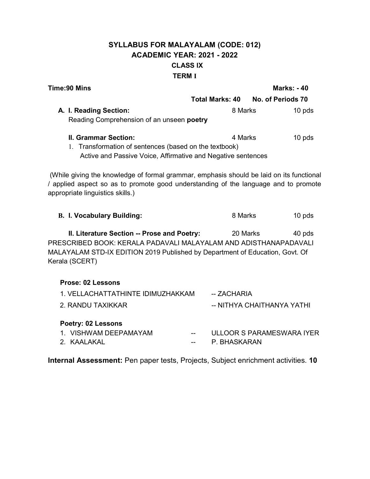# SYLLABUS FOR MALAYALAM (CODE: 012) ACADEMIC YEAR: 2021 - 2022 CLASS IX TERM I

| <b>Time:90 Mins</b>                                                                                                                                                                                                 |              | <b>Marks: -40</b>                 |
|---------------------------------------------------------------------------------------------------------------------------------------------------------------------------------------------------------------------|--------------|-----------------------------------|
|                                                                                                                                                                                                                     |              | Total Marks: 40 No. of Periods 70 |
| A. I. Reading Section:                                                                                                                                                                                              | 8 Marks      | $10$ pds                          |
| Reading Comprehension of an unseen poetry                                                                                                                                                                           |              |                                   |
| <b>II. Grammar Section:</b>                                                                                                                                                                                         | 4 Marks      | 10 pds                            |
| 1. Transformation of sentences (based on the textbook)<br>Active and Passive Voice, Affirmative and Negative sentences                                                                                              |              |                                   |
| (While giving the knowledge of formal grammar, emphasis should be laid on its functional<br>/ applied aspect so as to promote good understanding of the language and to promote<br>appropriate linguistics skills.) |              |                                   |
| <b>B. I. Vocabulary Building:</b>                                                                                                                                                                                   | 8 Marks      | $10$ pds                          |
| II. Literature Section -- Prose and Poetry:<br>PRESCRIBED BOOK: KERALA PADAVALI MALAYALAM AND ADISTHANAPADAVALI<br>MALAYALAM STD-IX EDITION 2019 Published by Department of Education, Govt. Of<br>Kerala (SCERT)   | 20 Marks     | 40 pds                            |
| <b>Prose: 02 Lessons</b>                                                                                                                                                                                            |              |                                   |
| 1. VELLACHATTATHINTE IDIMUZHAKKAM                                                                                                                                                                                   | -- ZACHARIA  |                                   |
| 2. RANDU TAXIKKAR                                                                                                                                                                                                   |              | -- NITHYA CHAITHANYA YATHI        |
| <b>Poetry: 02 Lessons</b>                                                                                                                                                                                           |              |                                   |
| 1. VISHWAM DEEPAMAYAM                                                                                                                                                                                               |              | ULLOOR S PARAMESWARA IYER         |
| 2. KAALAKAL                                                                                                                                                                                                         | P. BHASKARAN |                                   |

Internal Assessment: Pen paper tests, Projects, Subject enrichment activities. 10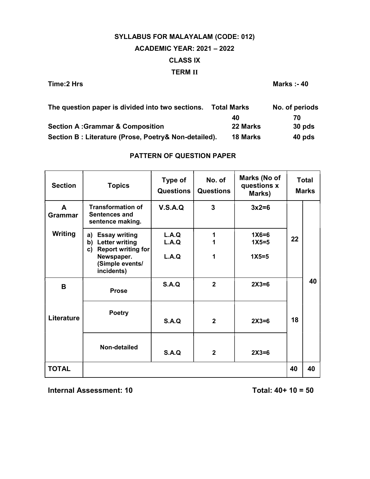# SYLLABUS FOR MALAYALAM (CODE: 012) ACADEMIC YEAR: 2021 – 2022 CLASS IX TERM II

Time:2 Hrs Marks :- 40

| The question paper is divided into two sections.      | <b>Total Marks</b> | No. of periods |
|-------------------------------------------------------|--------------------|----------------|
|                                                       | 40                 | 70             |
| <b>Section A:Grammar &amp; Composition</b>            | 22 Marks           | 30 pds         |
| Section B : Literature (Prose, Poetry& Non-detailed). | <b>18 Marks</b>    | 40 pds         |

## PATTERN OF QUESTION PAPER

| <b>Section</b>              | <b>Topics</b>                                                                         | Type of<br><b>Questions</b> | No. of<br><b>Questions</b> | Marks (No of<br>questions x<br>Marks) |    | <b>Total</b><br><b>Marks</b> |
|-----------------------------|---------------------------------------------------------------------------------------|-----------------------------|----------------------------|---------------------------------------|----|------------------------------|
| $\blacktriangle$<br>Grammar | <b>Transformation of</b><br>Sentences and<br>sentence making.                         | V.S.A.Q                     | $\overline{3}$             | $3x2=6$                               |    |                              |
| <b>Writing</b>              | <b>Essay writing</b><br>a)<br><b>Letter writing</b><br>b)<br>Report writing for<br>c) | L.A.Q<br>L.A.Q              | 1                          | $1X6=6$<br>$1X5=5$                    | 22 |                              |
|                             | Newspaper.<br>(Simple events/<br>incidents)                                           | L.A.Q                       | 1                          | $1X5=5$                               |    |                              |
| B                           | <b>Prose</b>                                                                          | S.A.Q                       | $\overline{2}$             | $2X3=6$                               |    | 40                           |
| Literature                  | <b>Poetry</b>                                                                         | S.A.Q                       | $\overline{2}$             | $2X3=6$                               | 18 |                              |
|                             | Non-detailed                                                                          | S.A.Q                       | $\overline{2}$             | $2X3=6$                               |    |                              |
| <b>TOTAL</b>                |                                                                                       |                             |                            |                                       | 40 | 40                           |

Internal Assessment:  $10$  Total:  $40+10=50$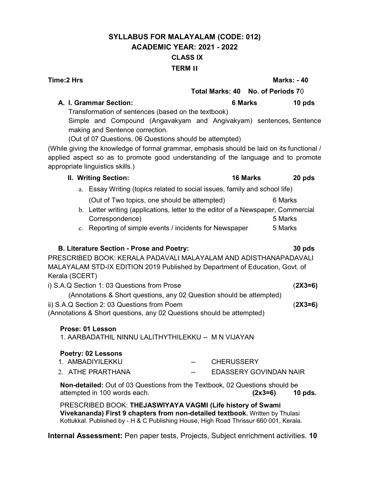# SYLLABUS FOR MALAYALAM (CODE: 012) ACADEMIC YEAR: 2021 - 2022 CLASS IX TERM II

A. I. Grammar Section: the control of the control of the control of the control of the control of the control o Transformation of sentences (based on the textbook) (Out of 07 Questions, 06 Questions should be attempted) (While giving the knowledge of formal grammar, emphasis should be laid on its functional / applied aspect so as to promote good understanding of the language and to promote appropriate linguistics skills.) II. Writing Section: 16 Marks 20 pds a. Essay Writing (topics related to social issues, family and school life) (Out of Two topics, one should be attempted) 6 Marks b. Letter writing (applications, letter to the editor of a Newspaper, Commercial Correspondence) 5 Marks

# B. Literature Section - Prose and Poetry: 30 pds PRESCRIBED BOOK: KERALA PADAVALI MALAYALAM AND ADISTHANAPADAVALI

MALAYALAM STD-IX EDITION 2019 Published by Department of Education, Govt. of Kerala (SCERT)

c. Reporting of simple events / incidents for Newspaper 5 Marks

i) S.A.Q Section 1: 03 Questions from Prose (2X3=6) (Annotations & Short questions, any 02 Question should be attempted) ii) S.A.Q Section 2: 03 Questions from Poem (2X3=6) (Annotations & Short questions, any 02 Questions should be attempted)

### Prose: 01 Lesson

1. AARBADATHIL NINNU LALITHYTHILEKKU -- M N VIJAYAN

### Poetry: 02 Lessons

| 1. AMBADIYILEKKU  | <b>COMPANY</b> | <b>CHERUSSERY</b>      |
|-------------------|----------------|------------------------|
| 2. ATHE PRARTHANA | $-1$           | EDASSERY GOVINDAN NAIR |

Non-detailed: Out of 03 Questions from the Textbook, 02 Questions should be attempted in 100 words each.  $(2x3=6)$  10 pds.

PRESCRIBED BOOK: THEJASWIYAYA VAGMI (Life history of Swami Vivekananda) First 9 chapters from non-detailed textbook. Written by Thulasi Kottukkal. Published by - H & C Publishing House, High Road Thrissur 660 001, Kerala.

Internal Assessment: Pen paper tests, Projects, Subject enrichment activities. 10

### Time:2 Hrs Marks: - 40

# Total Marks: 40 No. of Periods 70

Simple and Compound (Angavakyam and Angivakyam) sentences, Sentence making and Sentence correction.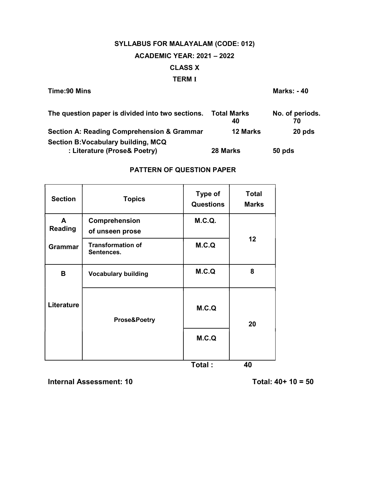# SYLLABUS FOR MALAYALAM (CODE: 012) ACADEMIC YEAR: 2021 – 2022 CLASS X TERM I

| Time: 90 Mins                                                       |                          | <b>Marks: -40</b>     |
|---------------------------------------------------------------------|--------------------------|-----------------------|
| The question paper is divided into two sections.                    | <b>Total Marks</b><br>40 | No. of periods.<br>70 |
| <b>Section A: Reading Comprehension &amp; Grammar</b>               | <b>12 Marks</b>          | 20 pds                |
| Section B: Vocabulary building, MCQ<br>: Literature (Prose& Poetry) | 28 Marks                 | 50 pds                |

### PATTERN OF QUESTION PAPER

| <b>Section</b>      | <b>Topics</b>                          | Type of<br><b>Questions</b> | <b>Total</b><br><b>Marks</b> |  |
|---------------------|----------------------------------------|-----------------------------|------------------------------|--|
| A<br><b>Reading</b> | Comprehension<br>of unseen prose       | <b>M.C.Q.</b>               |                              |  |
| <b>Grammar</b>      | <b>Transformation of</b><br>Sentences. | M.C.Q                       | 12                           |  |
| B                   | <b>Vocabulary building</b>             | M.C.Q                       | 8                            |  |
| Literature          | <b>Prose&amp;Poetry</b>                | M.C.Q                       | 20                           |  |
|                     |                                        | M.C.Q                       |                              |  |
|                     |                                        | $T$ otal $\cdot$            | ΛN                           |  |

Total : 40

Internal Assessment:  $10$  Total:  $40+10=50$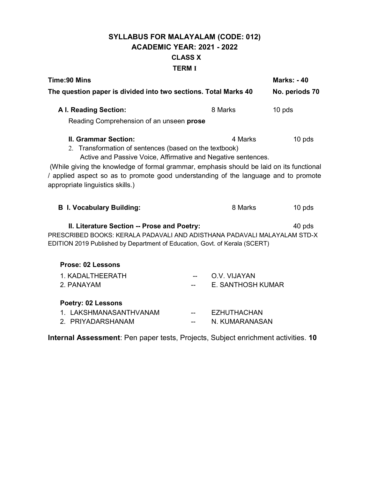# SYLLABUS FOR MALAYALAM (CODE: 012) ACADEMIC YEAR: 2021 - 2022 CLASS X TERM I

| <b>Time:90 Mins</b>                                                                                                                                                                                                                                                                                                                                                                                |                |                                      | <b>Marks: -40</b> |  |  |  |
|----------------------------------------------------------------------------------------------------------------------------------------------------------------------------------------------------------------------------------------------------------------------------------------------------------------------------------------------------------------------------------------------------|----------------|--------------------------------------|-------------------|--|--|--|
| The question paper is divided into two sections. Total Marks 40                                                                                                                                                                                                                                                                                                                                    | No. periods 70 |                                      |                   |  |  |  |
| <b>A I. Reading Section:</b>                                                                                                                                                                                                                                                                                                                                                                       |                | 8 Marks                              | 10 pds            |  |  |  |
| Reading Comprehension of an unseen prose                                                                                                                                                                                                                                                                                                                                                           |                |                                      |                   |  |  |  |
| <b>II. Grammar Section:</b><br>4 Marks<br>10 pds<br>2. Transformation of sentences (based on the textbook)<br>Active and Passive Voice, Affirmative and Negative sentences.<br>(While giving the knowledge of formal grammar, emphasis should be laid on its functional<br>/ applied aspect so as to promote good understanding of the language and to promote<br>appropriate linguistics skills.) |                |                                      |                   |  |  |  |
| <b>B</b> I. Vocabulary Building:                                                                                                                                                                                                                                                                                                                                                                   |                | 8 Marks                              | $10$ pds          |  |  |  |
| II. Literature Section -- Prose and Poetry:<br>40 pds<br>PRESCRIBED BOOKS: KERALA PADAVALI AND ADISTHANA PADAVALI MALAYALAM STD-X<br>EDITION 2019 Published by Department of Education, Govt. of Kerala (SCERT)                                                                                                                                                                                    |                |                                      |                   |  |  |  |
| Prose: 02 Lessons                                                                                                                                                                                                                                                                                                                                                                                  |                |                                      |                   |  |  |  |
| 1. KADALTHEERATH<br>2. PANAYAM                                                                                                                                                                                                                                                                                                                                                                     |                | O.V. VIJAYAN<br>E. SANTHOSH KUMAR    |                   |  |  |  |
| <b>Poetry: 02 Lessons</b>                                                                                                                                                                                                                                                                                                                                                                          |                |                                      |                   |  |  |  |
| 1. LAKSHMANASANTHVANAM<br>2. PRIYADARSHANAM                                                                                                                                                                                                                                                                                                                                                        |                | <b>EZHUTHACHAN</b><br>N. KUMARANASAN |                   |  |  |  |

Internal Assessment: Pen paper tests, Projects, Subject enrichment activities. 10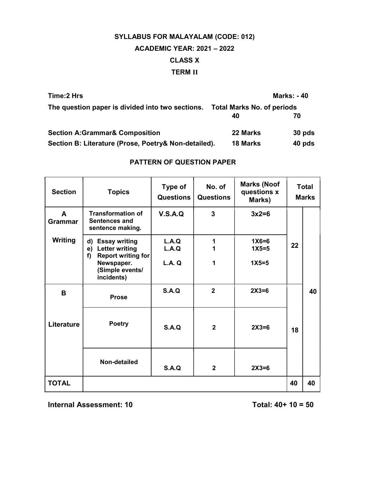# SYLLABUS FOR MALAYALAM (CODE: 012) ACADEMIC YEAR: 2021 – 2022 CLASS X TERM II

| Time: 2 Hrs                                          |                                   | <b>Marks: -40</b> |
|------------------------------------------------------|-----------------------------------|-------------------|
| The question paper is divided into two sections.     | <b>Total Marks No. of periods</b> |                   |
|                                                      | 40                                | 70                |
| <b>Section A:Grammar&amp; Composition</b>            | 22 Marks                          | $30$ pds          |
| Section B: Literature (Prose, Poetry& Non-detailed). | <b>18 Marks</b>                   | 40 pds            |

### PATTERN OF QUESTION PAPER

| <b>Section</b>      | <b>Topics</b>                                                                         | Type of<br><b>Questions</b> | No. of<br><b>Questions</b> | <b>Marks (Noof</b><br>questions x<br>Marks) |    | <b>Total</b><br><b>Marks</b> |
|---------------------|---------------------------------------------------------------------------------------|-----------------------------|----------------------------|---------------------------------------------|----|------------------------------|
| A<br><b>Grammar</b> | <b>Transformation of</b><br>Sentences and<br>sentence making.                         | V.S.A.Q                     | 3                          | $3x2=6$                                     |    |                              |
| <b>Writing</b>      | <b>Essay writing</b><br>d)<br><b>Letter writing</b><br>e)<br>Report writing for<br>f) | L.A.Q<br>L.A.Q              | 1                          | $1X6=6$<br>$1X5=5$                          | 22 |                              |
|                     | Newspaper.<br>(Simple events/<br>incidents)                                           | <b>L.A. Q</b>               | 1                          | $1X5=5$                                     |    |                              |
| B                   | <b>Prose</b>                                                                          | S.A.Q                       | $\overline{2}$             | $2X3=6$                                     |    | 40                           |
| Literature          | <b>Poetry</b>                                                                         | S.A.Q                       | $\overline{2}$             | $2X3=6$                                     | 18 |                              |
|                     | <b>Non-detailed</b>                                                                   | S.A.Q                       | $\mathbf{2}$               | $2X3=6$                                     |    |                              |
| <b>TOTAL</b>        |                                                                                       |                             |                            |                                             | 40 | 40                           |

Internal Assessment:  $10$  Total:  $40+10=50$